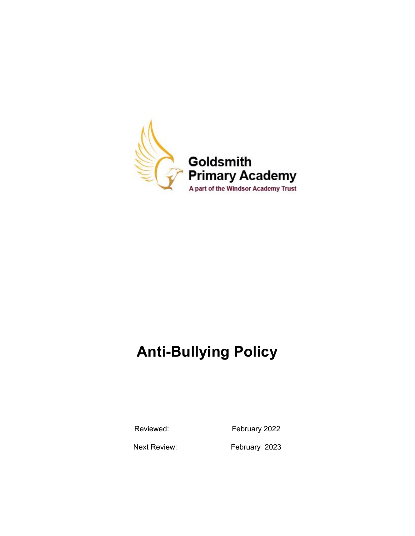

# **Anti-Bullying Policy**

Reviewed: February 2022

Next Review: February 2023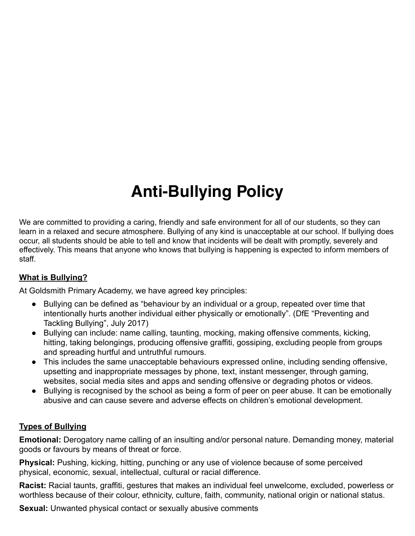# **Anti-Bullying Policy**

We are committed to providing a caring, friendly and safe environment for all of our students, so they can learn in a relaxed and secure atmosphere. Bullying of any kind is unacceptable at our school. If bullying does occur, all students should be able to tell and know that incidents will be dealt with promptly, severely and effectively. This means that anyone who knows that bullying is happening is expected to inform members of staff.

# **What is Bullying?**

At Goldsmith Primary Academy, we have agreed key principles:

- Bullying can be defined as "behaviour by an individual or a group, repeated over time that intentionally hurts another individual either physically or emotionally". (DfE "Preventing and Tackling Bullying", July 2017)
- Bullying can include: name calling, taunting, mocking, making offensive comments, kicking, hitting, taking belongings, producing offensive graffiti, gossiping, excluding people from groups and spreading hurtful and untruthful rumours.
- This includes the same unacceptable behaviours expressed online, including sending offensive, upsetting and inappropriate messages by phone, text, instant messenger, through gaming, websites, social media sites and apps and sending offensive or degrading photos or videos.
- Bullying is recognised by the school as being a form of peer on peer abuse. It can be emotionally abusive and can cause severe and adverse effects on children's emotional development.

## **Types of Bullying**

**Emotional:** Derogatory name calling of an insulting and/or personal nature. Demanding money, material goods or favours by means of threat or force.

**Physical:** Pushing, kicking, hitting, punching or any use of violence because of some perceived physical, economic, sexual, intellectual, cultural or racial difference.

**Racist:** Racial taunts, graffiti, gestures that makes an individual feel unwelcome, excluded, powerless or worthless because of their colour, ethnicity, culture, faith, community, national origin or national status.

**Sexual:** Unwanted physical contact or sexually abusive comments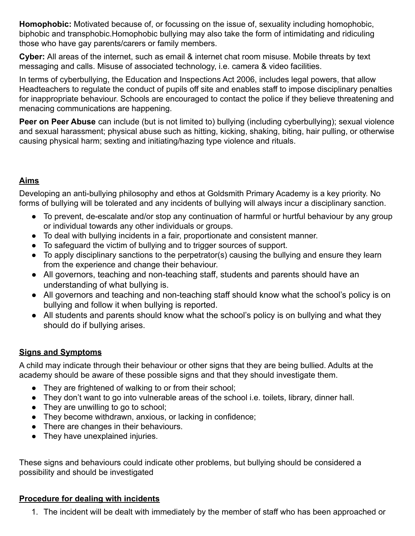**Homophobic:** Motivated because of, or focussing on the issue of, sexuality including homophobic, biphobic and transphobic.Homophobic bullying may also take the form of intimidating and ridiculing those who have gay parents/carers or family members.

**Cyber:** All areas of the internet, such as email & internet chat room misuse. Mobile threats by text messaging and calls. Misuse of associated technology, i.e. camera & video facilities.

In terms of cyberbullying, the Education and Inspections Act 2006, includes legal powers, that allow Headteachers to regulate the conduct of pupils off site and enables staff to impose disciplinary penalties for inappropriate behaviour. Schools are encouraged to contact the police if they believe threatening and menacing communications are happening.

**Peer on Peer Abuse** can include (but is not limited to) bullying (including cyberbullying); sexual violence and sexual harassment; physical abuse such as hitting, kicking, shaking, biting, hair pulling, or otherwise causing physical harm; sexting and initiating/hazing type violence and rituals.

# **Aims**

Developing an anti-bullying philosophy and ethos at Goldsmith Primary Academy is a key priority. No forms of bullying will be tolerated and any incidents of bullying will always incur a disciplinary sanction.

- To prevent, de-escalate and/or stop any continuation of harmful or hurtful behaviour by any group or individual towards any other individuals or groups.
- To deal with bullying incidents in a fair, proportionate and consistent manner.
- To safeguard the victim of bullying and to trigger sources of support.
- To apply disciplinary sanctions to the perpetrator(s) causing the bullying and ensure they learn from the experience and change their behaviour.
- All governors, teaching and non-teaching staff, students and parents should have an understanding of what bullying is.
- All governors and teaching and non-teaching staff should know what the school's policy is on bullying and follow it when bullying is reported.
- All students and parents should know what the school's policy is on bullying and what they should do if bullying arises.

## **Signs and Symptoms**

A child may indicate through their behaviour or other signs that they are being bullied. Adults at the academy should be aware of these possible signs and that they should investigate them.

- They are frightened of walking to or from their school;
- They don't want to go into vulnerable areas of the school i.e. toilets, library, dinner hall.
- They are unwilling to go to school;
- They become withdrawn, anxious, or lacking in confidence;
- There are changes in their behaviours.
- They have unexplained injuries.

These signs and behaviours could indicate other problems, but bullying should be considered a possibility and should be investigated

# **Procedure for dealing with incidents**

1. The incident will be dealt with immediately by the member of staff who has been approached or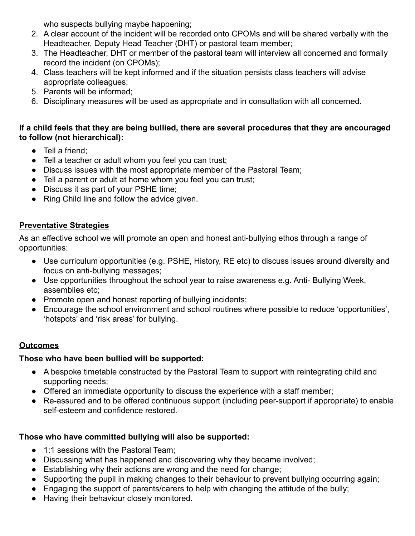who suspects bullying maybe happening;

- 2. A clear account of the incident will be recorded onto CPOMs and will be shared verbally with the Headteacher, Deputy Head Teacher (DHT) or pastoral team member;
- 3. The Headteacher, DHT or member of the pastoral team will interview all concerned and formally record the incident (on CPOMs);
- 4. Class teachers will be kept informed and if the situation persists class teachers will advise appropriate colleagues;
- 5. Parents will be informed;
- 6. Disciplinary measures will be used as appropriate and in consultation with all concerned.

#### **If a child feels that they are being bullied, there are several procedures that they are encouraged to follow (not hierarchical):**

- Tell a friend:
- Tell a teacher or adult whom you feel you can trust;
- Discuss issues with the most appropriate member of the Pastoral Team;
- Tell a parent or adult at home whom you feel you can trust;
- Discuss it as part of your PSHE time;
- Ring Child line and follow the advice given.

# **Preventative Strategies**

As an effective school we will promote an open and honest anti-bullying ethos through a range of opportunities:

- Use curriculum opportunities (e.g. PSHE, History, RE etc) to discuss issues around diversity and focus on anti-bullying messages;
- Use opportunities throughout the school year to raise awareness e.g. Anti- Bullying Week, assemblies etc;
- Promote open and honest reporting of bullying incidents;
- Encourage the school environment and school routines where possible to reduce 'opportunities', 'hotspots' and 'risk areas' for bullying.

# **Outcomes**

## **Those who have been bullied will be supported:**

- A bespoke timetable constructed by the Pastoral Team to support with reintegrating child and supporting needs;
- Offered an immediate opportunity to discuss the experience with a staff member;
- Re-assured and to be offered continuous support (including peer-support if appropriate) to enable self-esteem and confidence restored.

# **Those who have committed bullying will also be supported:**

- 1:1 sessions with the Pastoral Team;
- Discussing what has happened and discovering why they became involved;
- Establishing why their actions are wrong and the need for change;
- Supporting the pupil in making changes to their behaviour to prevent bullying occurring again;
- Engaging the support of parents/carers to help with changing the attitude of the bully;
- Having their behaviour closely monitored.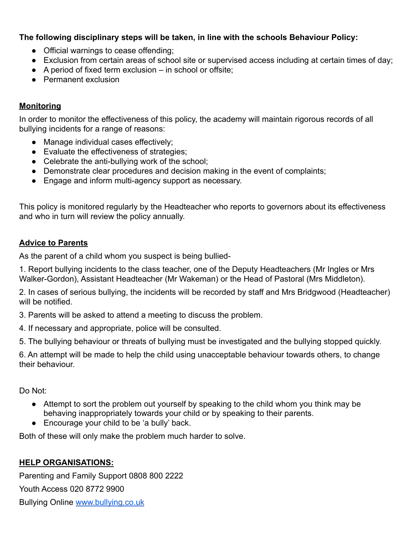#### **The following disciplinary steps will be taken, in line with the schools Behaviour Policy:**

- Official warnings to cease offending;
- Exclusion from certain areas of school site or supervised access including at certain times of day;
- $\bullet$  A period of fixed term exclusion in school or offsite;
- Permanent exclusion

#### **Monitoring**

In order to monitor the effectiveness of this policy, the academy will maintain rigorous records of all bullying incidents for a range of reasons:

- Manage individual cases effectively;
- Evaluate the effectiveness of strategies;
- Celebrate the anti-bullying work of the school;
- Demonstrate clear procedures and decision making in the event of complaints;
- Engage and inform multi-agency support as necessary.

This policy is monitored regularly by the Headteacher who reports to governors about its effectiveness and who in turn will review the policy annually.

## **Advice to Parents**

As the parent of a child whom you suspect is being bullied-

1. Report bullying incidents to the class teacher, one of the Deputy Headteachers (Mr Ingles or Mrs Walker-Gordon), Assistant Headteacher (Mr Wakeman) or the Head of Pastoral (Mrs Middleton).

2. In cases of serious bullying, the incidents will be recorded by staff and Mrs Bridgwood (Headteacher) will be notified.

3. Parents will be asked to attend a meeting to discuss the problem.

4. If necessary and appropriate, police will be consulted.

5. The bullying behaviour or threats of bullying must be investigated and the bullying stopped quickly.

6. An attempt will be made to help the child using unacceptable behaviour towards others, to change their behaviour.

Do Not:

- Attempt to sort the problem out yourself by speaking to the child whom you think may be behaving inappropriately towards your child or by speaking to their parents.
- Encourage your child to be 'a bully' back.

Both of these will only make the problem much harder to solve.

## **HELP ORGANISATIONS:**

Parenting and Family Support 0808 800 2222 Youth Access 020 8772 9900 Bullying Online [www.bullying.co.uk](http://www.bullying.co.uk)